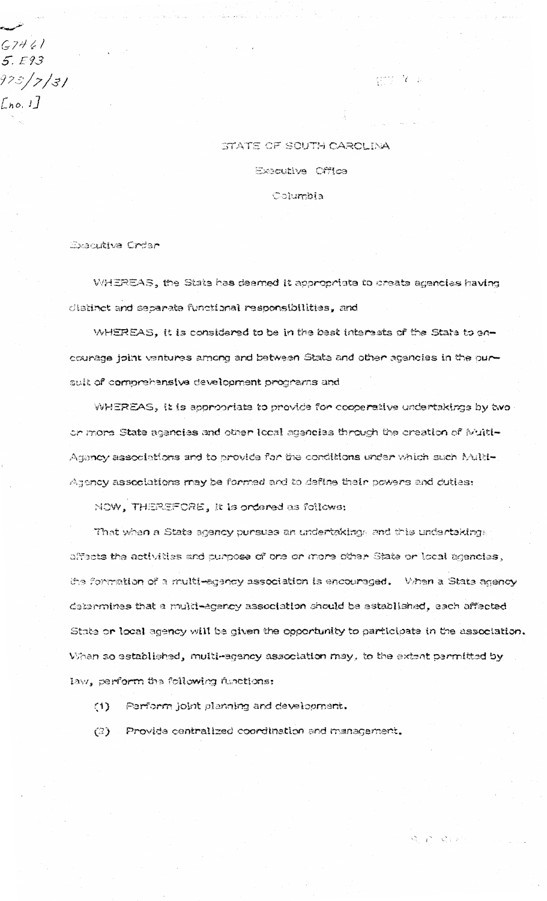$G7461$  $5. E93$ 973/7/31  $[ln 0.1]$ 

## STATE OF SOUTH CAROLINA **Executive Office** Columbia

 $\mathbb{R}^{n+1}$  is the  $\mathbb{R}^{n+1}$ 

Executive Crder

WHEREAS, the State has deemed it appropriate to create agencies having clistinct and separate functional responsibilities, and

WHEREAS, it is considered to be in the best interests of the State to encourage joint ventures among and between State and other agencies in the pursuit of comprehensive development programs and

WHEREAS, it is appropriate to provide for cooperative undertakings by two or more State agencies and other local agencies through the creation of Multi-Agency associations and to provide for the conditions under which such Multi-Agency associations may be formed and to define their powers and duties:

NOW, THEREFORE, it is ordered as follows:

That when a State agency pursues an undertaking and this undertakings affects the activities and purpose of one or more other State or local agencies, the formation of a multi-agency association is encouraged. When a State agency determines that a multi-agency association should be established, each affected State or local agency will be given the opportunity to participate in the association. When so established, multi-agency association may, to the extent permitted by law, perform the following functions:

 $\mathcal{L}=\mathcal{L}=\mathcal{L}=\mathcal{P}$ 

Perform joint planning and development.  $(1)$ 

Provide centralized coordination and management.  $(2)$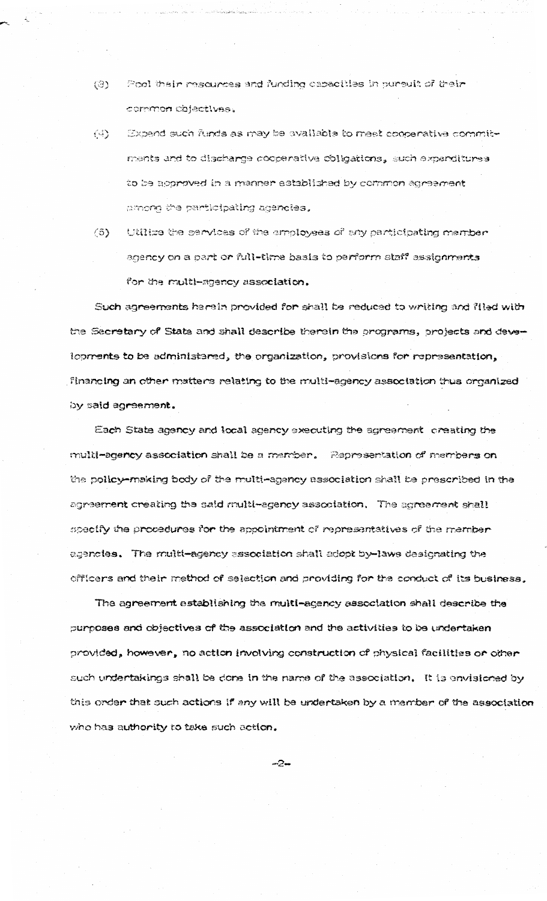- Pool their resources and funding capacities in pursuit of their (3) common objectives.
- Expend such funds as may be available to meet cooperative commit-(4) ments and to discharge cooperative obligations, such expanditures to be approved in a manner established by common agreement among the participating agencies.
- $(5)$ Utilize the services of the employees of any participating member agency on a part or full-time basis to perform staff assignments for the multi-agency association,

Such agreements herein provided for shall be reduced to writing and filed with the Secretary of State and shall describe therein the programs, projects and developments to be administared, the organization, provisions for representation, financing an other matters relating to the multi-agency association thus organized by said agreement.

Each State agency and local agency executing the agreement creating the the pollcy—making body of the multi—agency association shall be prescribed in the agreement creating the said multi-agency association. The agreement shall specify the procedures for the appointment of representatives of the memberegencies. The multi-agency association shall adopt by-laws designating the l officers and their method of selection and providing for the conduct of its business.

The agreement establishing the multi-agency association shall describe the l curposes and objectives of the association and the activities to be undertaken . provided, however, no action involving construction of physical facilities or other such undertakings shall be done in the name of the association,  $\;$  It is envisioned by  $\;$ this order that such actions if any will be undertaken by a mamber of the association who has authority to take such action.

-2-